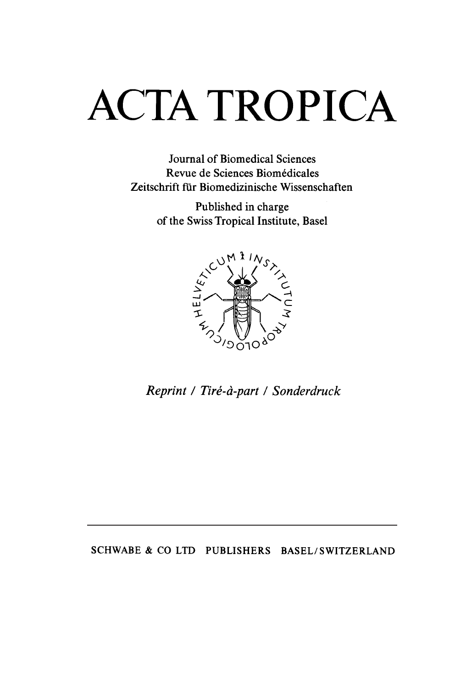# **ACTA TROPICA**

Joumal of Biomedical Sciences Revue de Sciences Biomédicales Zeitschrift für Biomedizinische Wissenschaften

> Published in charge of the Swiss Tropical Institute, Basel



/ Tiré-à-part / Sonderdruck

SCHWABE & CO LTD PUBLISHERS BASEL/SWITZERLAND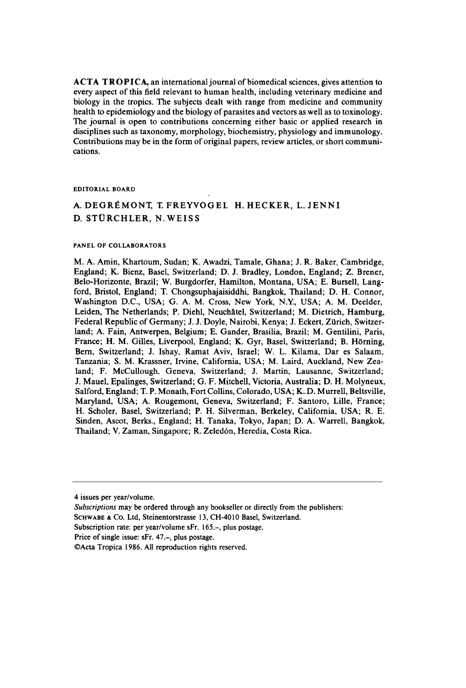$ACTA TROPICA$ , an international journal of biomedical sciences, gives attention to every aspect of this field relevant to human health, including veterinary medicine and biology in the tropics. The subjects dealt with range from medicine and community health to epidemiology and the biology of parasites and vectors as well as to toxinology. The joumal is open to contributions conceming either basic or applied research in disciplines such as taxonomy, morphology, biochemistry, physiology and immunology. Contributions may be in the form of original papers, review articles, or short communications.

#### EDITORIAL BOARD

## A. DEGRÉMONT, T. FREYVOGEL H. HECKER, L. JENN D. STüRCHLER, N.WEISS

#### PANEL OF COLLABORATORS

M. A. Amin, Khartoum, Sudan; K. Awadzi, Tamale, Ghana; J. R. Baker, Cambridge, England; K. Bienz, Basel, Switzerland; D. J. Bradley, London, England; Z. Brener, Belo-Horizonte, Brazil; W. Burgdorfer, Hamilton, Montana, USA; E. Bursell, Langford, Bristol, Engiand; T. Chongsuphajaisiddhi, Bangkok, Thailand; D. H. Connor, Washington D.C., USA; G. A. M. Cross, New York, N.Y:, USA; A. M. Deelder, Leiden, The Netherlands; P. Diehl, Neuchâtel, Switzerland; M. Dietrich, Hamburg, Federal Republic of Germany; J. J. Doyle, Nairobi, Kenya; J. Eckert, Zürich, Switzerland; A. Fain, Antwerpen, Belgium; E. Gander, Brasilia, Brazil; M. Gentilini, Paris, France; H. M. Gilles, Liverpool, Engiand; K. Gyr, Basel, Switzerland; B. Hôming, Bem, Switzerland; J. Ishay, Ramat Aviv, Israel; W. L. Kilama, Dar es Salaam, Tanzania; S. M. Krassner, Irvine, Califomia, USA; M. Laird, Auckland, New Zealand; F. McCullough, Geneva, Switzerland; J. Martin, Lausanne, Switzerland; J. Mauel, Epalinges, Switzerland; G. F. Mitchell, Victoria, Australia; D. H. Molyneux, Salford, England; T. P. Monath, Fort Collins, Colorado, USA; K.D. Murrell, Beltsville, Maryland, USA; A. Rougemont, Geneva, Switzerland; F. Santoro, Lille, France; H. Scholer, Basel, Switzerland; P. H. Silverman, Berkeley, Califomia, USA; R. E. Sinden, Ascot, Berks., England; H. Tanaka, Tokyo, Japan; D. A. Warrell, Bangkok, Thailand; V. Zaman, Singapore; R. Zeledón, Heredia, Costa Rica.

<sup>4</sup> issues per year/volume.

Subscriptions may be ordered through any bookseller or directly from the publishers:

SCHWABE & Co. Ltd, Steinentorstrasse 13, CH-4010 Basel, Switzerland.

Subscription rate: per year/volume sFr. 165.-, plus postage.

Price of single issue: sFr. 47.-, plus postage.

<sup>@</sup>Acta Tropica 1986. Ali reproduction rights reserved.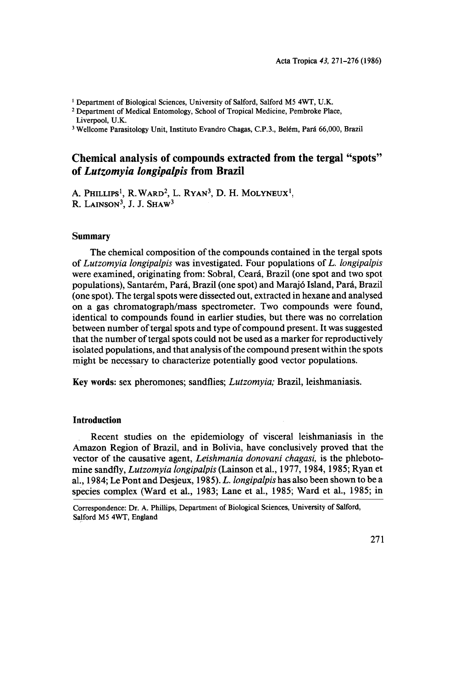<sup>1</sup> Department of Biological Sciences, University of Salford, Salford M5 4WT, U.K.

2 Department of Medical Entomology, School of Tropical Medicine, Pembroke Place, Liverpool, U.K.

3 Wellcome Parasitology Unit, Instituto Evandro Chagas, C.P .3., Belém, Pará 66,000, Brazil

## Chemical analysis of compounds extracted from the tergal "spots" of Lutzomyia longipalpis from Brazil

A. PHILLIPS<sup>1</sup>, R. WARD<sup>2</sup>, L. RYAN<sup>3</sup>, D. H. MOLYNEUX<sup>1</sup>, R. LAINSON<sup>3</sup>, J. J. SHAW<sup>3</sup>

#### Summary

The chemical composition of the compounds contained in the tergal spots of Lutzomyia longipalpis was investigated. Four populations of L. longipalpis were examined, originating from: Sobral, Ceará, Brazil (one spot and two spot populations), Santarém, Pará, Brazil (one spot) and Marajó Island, Pará, Brazil (one spot). The tergal spots were dissected out, extracted in hexane and analysed on a gas chromatograph/mass spectrometer. Two compounds were found, identical to compounds found in earlier studies, but there was no correlation between number of tergal spots and type of compound present. It was suggested that the number of tergal spots could not be used as a marker for reproductively isolated populations, and that analysis of the compound present within the spots might be necessary to characterize potentially good vector populations.

Key words: sex pheromones; sandflies; Lutzomyia; Brazil, leishmaniasis.

#### lntroduction

Recent studies on the epidemiology of visceral leishmaniasis in the Amazon Region of Brazil, and in Bolivia, have conclusively proved that the vector of the causative agent, Leishmania donovani chagasi, is the phlebotomine sandfly, Lutzomyia longipalpis (Lainson et aI., 1977, 1984, 1985; Ryan et aI., 1984; Le Pont and Desjeux, 1985). L. longipalpis has a1so been shown to be a species complex (Ward et al., 1983; Lane et al., 1985; Ward et al., 1985; in

Correspondence: Dr. A. Phillips, Department of Biological Sciences, University of Salford, Salford M5 4WT, England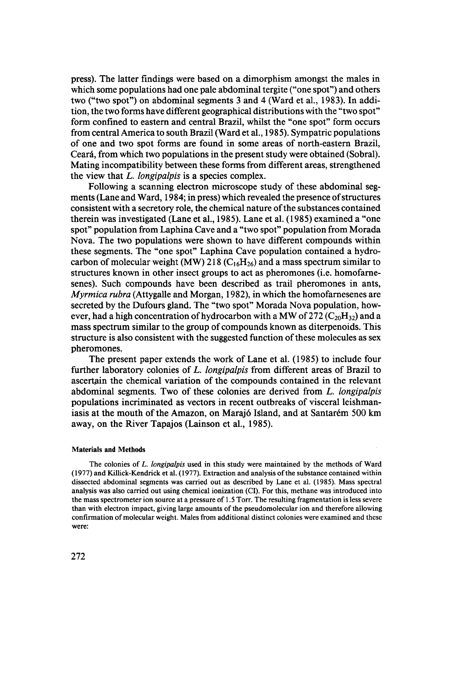press). The latter findings were based on a dimorphism amongst the males in which some populations had one pale abdominal tergite ("one spot") and others two ("two spot") on abdominal segments 3 and 4 (Ward et aI., 1983). In addition, the two forms have different geographical distributions with the "two spot" form confined to eastern and central Brazil, whilst the "one spot" form occurs from central America to south Brazil (Ward et aI., 1985). Sympatric populations of one and two spot forms are found in some areas of north-eastern Brazil, Ceará, from which two populations in the present study were obtained (Sobral). Mating incompatibility between these forms from different areas, strengthened the view that  $L$ . *longipalpis* is a species complex.

Following a scanning electron microscope study of these abdominal segments (Lane and Ward, 1984; in press) which revealed the presence of structures consistent with a secretory role, the chemical nature of the substances contained therein was investigated (Lane et al., 1985). Lane et aI. (1985) examined a "one spot" population from Laphina Cave and a "two spot" population from Morada Nova. The two populations were shown to have different compounds within these segments. The "one spot" Laphina Cave population contained a hydrocarbon of molecular weight (MW) 218 ( $C_1 \times H_{26}$ ) and a mass spectrum similar to structures known in other insect groups to act as pheromones (i.e. homofarnesenes). Such compounds have been described as trail pheromones in ants, Myrmica rubra (Attygalle and Morgan, 1982), in which the homofarnesenes are secreted by the Dufours gland. The "two spot" Morada Nova population, however, had a high concentration of hydrocarbon with a MW of 272 ( $C_{20}H_{32}$ ) and a mass spectrum similar to the group of compounds known as diterpenoids. This structure is also consistent with the suggested function of these molecules as sex pheromones.

The present paper extends the work of Lane et al. (1985) to include four further laboratory colonies of L. longipalpis from different areas of Brazil to ascertain the chemical variation of the compounds contained in the relevant abdominal segments. Two of these colonies are derived from L. longipalpis populations incriminated as vectors in recent outbreaks of visceral leishmaniasis at the mouth of the Amazon, on Marajó Island, and at Santarém 500 km away, on the River Tapajos (Lainson et al., 1985).

#### MateriaIs and Methods

The colonies of L. longipalpis used in this study were maintained by the methods of Ward (1977) and Killick-Kendrick et ai. (1977). Extraction and analysis ofthe substance contained within dissected abdominal segments was carried out as described by Lane et ai. (1985). Mass spectral analysis was also carried out using chemical ionization (CI). For this, methane was introduced into the mass spectrometer ion source at apressure of 1.5 Torr. The resulting fragmentation is less severe than with electron impact, giving large amounts of the pseudomolecular ion and therefore allowing confirmation of molecular weight. Males from additional distinct colonies were examined and these were: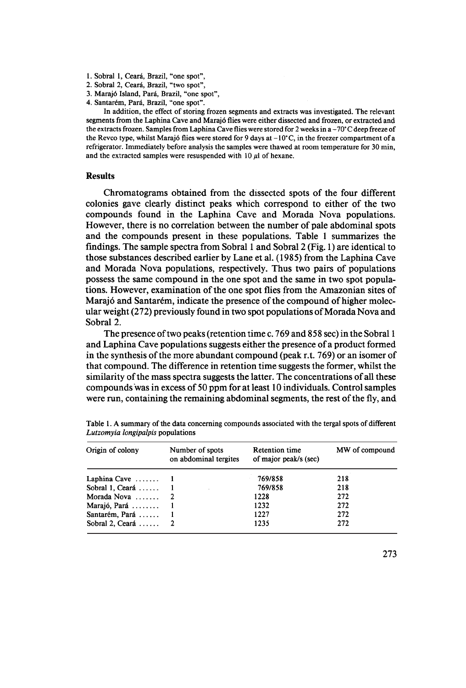- 1. Sobral 1, Ceará, Brazil, "one spot",
- 2. Sobral 2, Ceará, Brazil, "two spot",
- 3. Marajó Island, Pará, Brazil, "one spot",
- 4. Santarém, Pará, Brazil, "one spot".

In addition, the effect of storing frozen segments and extracts was investigated. The relevant segments from the Laphina Cave and Marajó flies were either dissected and frozen, or extracted and the extracts frozen. Samples from Laphina Cave flies were stored for 2 weeks in a -70°C deep freeze of the Revco type, whilst Marajó flies were stored for 9 days at  $-10^{\circ}$ C, in the freezer compartment of a refrigerator. Immediately before analysis the samples were thawed at room temperature for 30 min, and the extracted samples were resuspended with  $10 \mu l$  of hexane.

#### Results

Chromatograms obtained from the dissected spots of the four different colonies gave clearly distinct peaks which correspond to either of the two compounds found in the Laphina Cave and Morada Nova populations. However, there is no correlation between the number of pale abdominal spots and the compounds present in these populations. Table 1 summarizes the findings. The sample spectra from Sobral 1 and Sobral 2 (Fig. 1) are identical to those substances described earlier by Lane et al. (1985) from the Laphina Cave and Morada Nova populations, respectively. Thus two pairs of populations possess the same compound in the one spot and the same in two spot populations. However, examination of the one spot flies from the Amazonian sites of Marajó and Santarém, indicate the presence of the compound of higher molecular weight (272) previously found in two spot populations of Morada Nova and Sobral 2.

The presence of two peaks (retention time c. 769 and 858 sec) in the Sobral 1 and Laphina Cave populations suggests either the presence of a product formed in the synthesis of the more abundant compound (peak r.t.  $769$ ) or an isomer of that compound. The difference in retention time suggests the former, whilst the similarity of the mass spectra suggests the latter. The concentrations of all these compounds was in excess of 50 ppm for at least 10 individuals. Control samples were run, containing the remaining abdominal segments, the rest of the fly, and

| Origin of colony             | Number of spots<br>on abdominal tergites | <b>Retention time</b><br>of major peak/s (sec) | MW of compound |
|------------------------------|------------------------------------------|------------------------------------------------|----------------|
| Laphina Cave $\dots \dots$ 1 |                                          | 769/858                                        | 218            |
| Sobral 1, Ceará $\dots$ 1    |                                          | 769/858                                        | 218            |
| Morada Nova $\ldots$ , 2     |                                          | 1228                                           | 272            |
| Marajó, Pará                 |                                          | 1232                                           | 272            |
| Santarém, Pará  1            |                                          | 1227                                           | 272            |
| Sobral 2, Ceará $2$          |                                          | 1235                                           | 272            |

Table I. A summary of the data conceming compounds associated with the tergal spots of different Lutzomyia longipalpis populations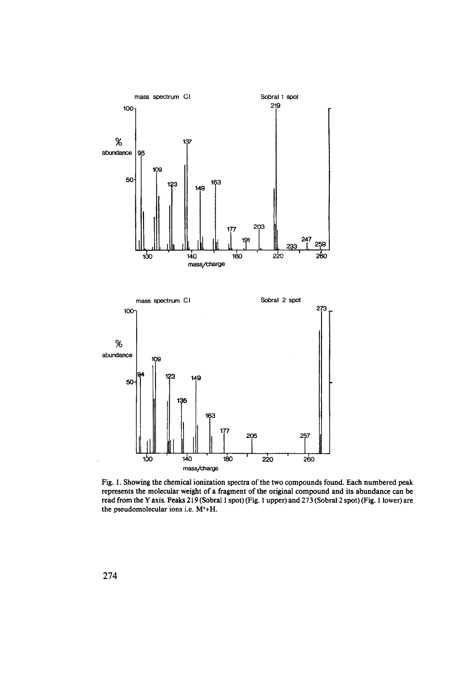

Fig. 1. Showing the chemical ionization spectra of the two compounds found. Each numbered peak represents the molecular weight of a fragment of the original compound and its abundance can be read from the Y axis. Peaks 219 (Sobral 1 spot) (Fig. 1 upper) and 273 (Sobral 2 spot) (Fig. 1 lower) are the pseudomolecular ions i.e. M<sup>+</sup>+H.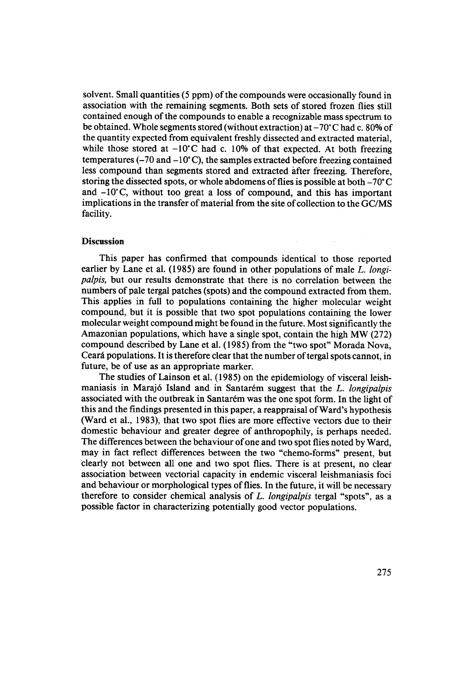solvent. Small quantities  $(5 ppm)$  of the compounds were occasionally found in association with the remaining segments. Both sets of stored frozen flies still contained enough of the compounds to enable a recognizable mass spectrum to be obtained. Whole segments stored (without extraction) at  $-70^{\circ}$ C had c. 80% of the quantity expected from equivalent freshly dissected and extracted material, while those stored at  $-10^{\circ}$ C had c. 10% of that expected. At both freezing temperatures  $(-70 \text{ and } -10^{\circ}\text{C})$ , the samples extracted before freezing contained less compound than segments stored and extracted àfter freezing. Therefore, storing the dissected spots, or whole abdomens of flies is possible at both  $-70^{\circ}$ C and  $-10^{\circ}$ C, without too great a loss of compound, and this has important implications in the transfer of material from the site of collection to the GC/MS facility.

#### Discussion

Thís paper has confirmed that compounds ídentícal to those reported earlier by Lane et al. (1985) are found in other populations of male L. longipalpis, but our results demonstrate that there ís no correlatíon between the numbers of pale tergal patches (spots) and the compound extracted from them. This applies in full to populations containing the higher molecular weight compound, but ít ís possíble that two spot populatíons contaíníng the lower molecular weíght compound míght be found ín the future. Most sígníficantly the Amazonían populatíons, whích have a síngle spot, contaín the hígh MW (272) compound described by Lane et aI. (1985) from the "two spot" Morada Nova, Ceará populations. It is therefore clear that the number of tergal spots cannot, in future, be of use as an appropriate marker.

The studies of Lainson et al. (1985) on the epidemiology of visceral leishmaniasis ín Marajó Island and in Santarém suggest that the L. longipalpis associated with the outbreak in Santarém was the one spot form. In the light of this and the findings presented in this paper, a reappraisal of Ward's hypothesis (Ward et al., 1983), that two spot flies are more effective vectors due to their domestic behaviour and greater degree of anthropophily, is perhaps needed. The differences between the behavíour of one and two spot flies noted by Ward, may in fact reflect differences between the two "chemo-forms" present, but clearly not between alI one and two spot flies. There is at present, no clear associatíon between vectorial capacity in endemic visceralleishmaniasis focí and behaviour or morphological types of flies. In the future, it will be necessary therefore to consider chemical analysis of L. longipalpis tergal "spots", as a possible factor in characterizing potentialIy good vector populatíons.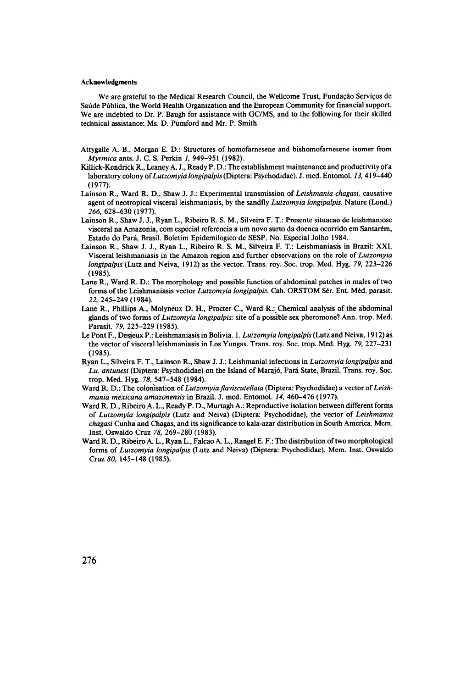#### Acknowledgments

We are grateful to the Medical Research Council, the Wellcome Trust, Fundação Serviços de Saúde Pública, the World Health Organization and the European Community for financial support. We are indebted to Dr. P. Baugh for assistance with GC/MS, and to the following for their skilled technical assistance: Ms. D. Pumford and Mr. P. Smith.

- Attygalle A. B., Morgan E. D.: Structures of homofamesene and bishomofamesene isomer from Myrmica ants. J. C. S. Perkin 1, 949-951 (1982).
- Killick-Kendrick R., Leaney A. J., Ready P. D.: The establishment maintenance and productivity ora laboratory colony of Lutzomyia longipalpis (Diptera: Psychodidae). J. med. Entomol. 13, 419-440 (1977).
- Lainson R., Ward R. D., Shaw J. J.: Experimental transmission of Leishmania chagasi, causative agent of neotropical visceral leishmaniasis, by the sandfly *Lutzomvia longipalpis*. Nature (Lond.) 266, 628-630 (1977).
- Lainson R., Shaw J. J., Ryan L., Ribeiro R. S. M., Silveira F. T.: Presente situacao de leishmaniose visceral na Amazonia, com especial referencia a um novo surto da doenca ocorrido em Santarém, Estado do Pará, Brasil. Boletim Epidemilogico de SESP, No. Especial Jolho 1984.
- Lainson R., Shaw J. J., Ryan L., Ribeiro R. S. M., Silveira F. T.: Leishmaniasis in Brazil: XXI. Visceral leishmaniasis in the Amazon region and further observations on the role of Lutzomyia longipalpis (Lutz and Neiva, 1912) as the vector. Trans. roy. Soc. trop. Med. Hyg. 79, 223-226 (1985).
- Lane R., Ward R. D.: The morphology and possible function of abdominal patches in males of two forms of the Leishmaniasis vector Lutzomyia longipalpis. Cah. ORSTOM Sér. Ent. Méd. parasit. 22, 245-249 (1984).
- Lane R., Phillips A., Molyneux D. H., Procter C., Ward R.:. Chemical analysis of the abdominal glands of two forms of Lutzomyia longipalpis: site of a possible sex pheromone? Ann. trop. Med. Parasit. 79, 225-229 (1985).
- Le Pont F., Desjeux P.: Leishmaniasis in Bolivia. 1. Lutzomyia longipalpis (Lutz and Neiva, 1912) as the vector of visceral leishmaniasis in Los Yungas. Trans. roy. Soc. trop. Med. Hyg. 79, 227-231 (1985).
- Ryan L., Silveira F. T., Lainson R., Shaw J. J.: Leishmanial infections in Lutzomyia longipalpis and Lu. antunesi (Diptera: Psychodidae) on the Island of Marajó, Pará State, Brazil. Trans. roy. Soc. trop. Med. Hyg. 78,547-548 (1984).
- Ward R. D.: The colonisation of Lutzomyia flaviscutellata (Diptera: Psychodidae) a vector of Leishmania mexicana amazonensis in Brazil. J. med. Entomol. 14, 460–476 (1977).
- Ward R. D., Ribeiro A. L., Ready P. D., Murtagh A.: Reproductive isolation between different forms of Lutzomyia longipalpis (Lutz and Neiva) (Diptera: Psychodidae), the vector of Leishmania chagasi Cunha and Chagas, and its significance to kala-azar distribution in South America. Mem. Inst. Oswaldo Cruz 78,269-280 (1983).
- Ward R. D., Ribeiro A. L., Ryan L., Falcao A. L., Rangel E. F.: The distribution of two morphological forms of Lutzomyia longipalpis (Lutz and Neiva) (Diptera: Psychodidae). Mem. Inst. Oswaldo Cruz 80. 145-148 (1985).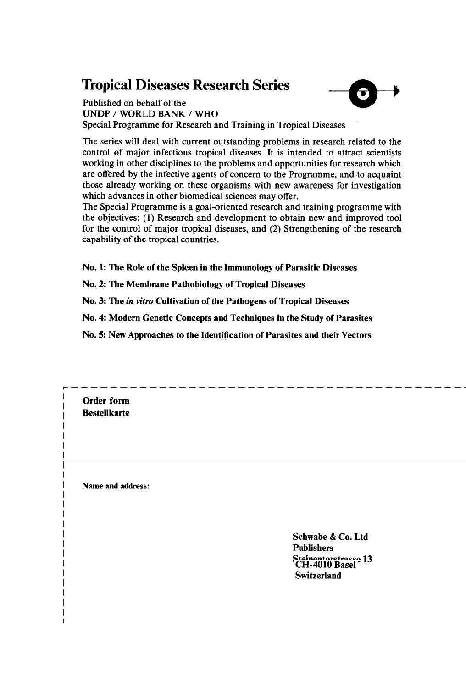# **Tropical Diseases Research Series**



UNDP / WORLD BANK / WHO Special Programme for Research and Training in Tropical Diseases

The series will deal with current outstanding problems in research related to the control of major infectious tropical diseases. It is intended to attract scientists working in other disciplines to the problems and opportunities for research which are offered by the infective agents of concern to the Programme, and to acquaint those already working on these organisms with new awareness for investigation which advances in other biomedical sciences may offer.

The Special Programme is a goal-oriented research and training programme with the objectives: (1) Research and development to obtain new and improved tool for the control of major tropical diseases, and (2) Strengthening of the research capability of the tropical countries.

No. 1: The Role of the Spleen in the Immunology of Parasitic Diseases

No. 2: The Membrane Pathobiology of Tropical Diseases

Name

No. 3: The in vitro Cultivation of the Pathogens of Tropical Diseases

No. 4: Modern Genetic Concepts and Techniques in the Study of Parasites

No. 5: New Approaches to the Identification of Parasites and their Vectors

Order form **Bestellkarte** Name and address: Schwabe & Co. Ltd Publishers Steinentorstrasse 13 CH-4010 Basel Switzerland